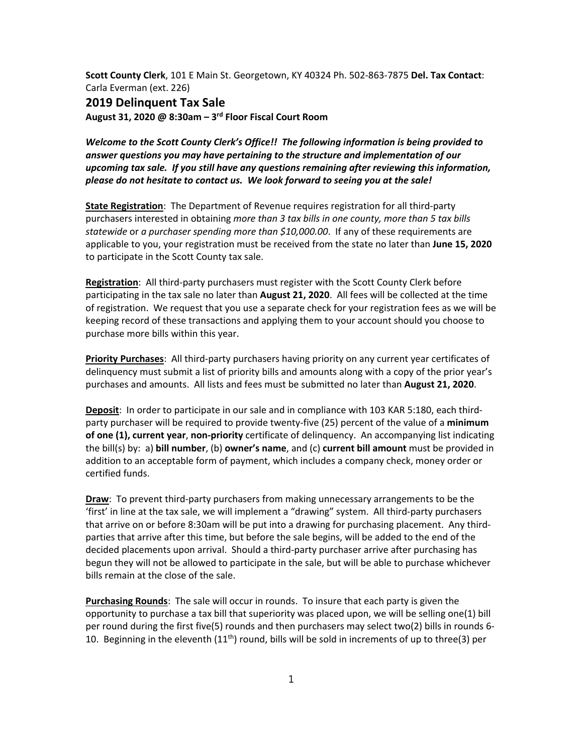**Scott County Clerk**, 101 E Main St. Georgetown, KY 40324 Ph. 502‐863‐7875 **Del. Tax Contact**: Carla Everman (ext. 226)

## **2019 Delinquent Tax Sale**

**August 31, 2020 @ 8:30am – 3rd Floor Fiscal Court Room**

*Welcome to the Scott County Clerk's Office!! The following information is being provided to answer questions you may have pertaining to the structure and implementation of our upcoming tax sale. If you still have any questions remaining after reviewing this information, please do not hesitate to contact us. We look forward to seeing you at the sale!*

**State Registration**: The Department of Revenue requires registration for all third‐party purchasers interested in obtaining *more than 3 tax bills in one county, more than 5 tax bills statewide* or *a purchaser spending more than \$10,000.00*. If any of these requirements are applicable to you, your registration must be received from the state no later than **June 15, 2020** to participate in the Scott County tax sale.

**Registration**: All third‐party purchasers must register with the Scott County Clerk before participating in the tax sale no later than **August 21, 2020**. All fees will be collected at the time of registration. We request that you use a separate check for your registration fees as we will be keeping record of these transactions and applying them to your account should you choose to purchase more bills within this year.

**Priority Purchases**: All third‐party purchasers having priority on any current year certificates of delinquency must submit a list of priority bills and amounts along with a copy of the prior year's purchases and amounts. All lists and fees must be submitted no later than **August 21, 2020**.

**Deposit**: In order to participate in our sale and in compliance with 103 KAR 5:180, each third‐ party purchaser will be required to provide twenty‐five (25) percent of the value of a **minimum of one (1), current year**, **non‐priority** certificate of delinquency. An accompanying list indicating the bill(s) by: a) **bill number**, (b) **owner's name**, and (c) **current bill amount** must be provided in addition to an acceptable form of payment, which includes a company check, money order or certified funds.

**Draw**: To prevent third-party purchasers from making unnecessary arrangements to be the 'first' in line at the tax sale, we will implement a "drawing" system. All third‐party purchasers that arrive on or before 8:30am will be put into a drawing for purchasing placement. Any third‐ parties that arrive after this time, but before the sale begins, will be added to the end of the decided placements upon arrival. Should a third‐party purchaser arrive after purchasing has begun they will not be allowed to participate in the sale, but will be able to purchase whichever bills remain at the close of the sale.

**Purchasing Rounds**: The sale will occur in rounds. To insure that each party is given the opportunity to purchase a tax bill that superiority was placed upon, we will be selling one(1) bill per round during the first five(5) rounds and then purchasers may select two(2) bills in rounds 6‐ 10. Beginning in the eleventh  $(11<sup>th</sup>)$  round, bills will be sold in increments of up to three(3) per